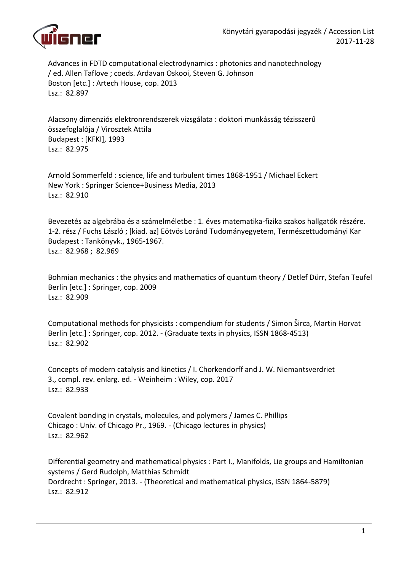

Advances in FDTD computational electrodynamics : photonics and nanotechnology / ed. Allen Taflove ; coeds. Ardavan Oskooi, Steven G. Johnson Boston [etc.] : Artech House, cop. 2013 Lsz.: 82.897

Alacsony dimenziós elektronrendszerek vizsgálata : doktori munkásság tézisszerű összefoglalója / Virosztek Attila Budapest : [KFKI], 1993 Lsz.: 82.975

Arnold Sommerfeld : science, life and turbulent times 1868-1951 / Michael Eckert New York : Springer Science+Business Media, 2013 Lsz.: 82.910

Bevezetés az algebrába és a számelméletbe : 1. éves matematika-fizika szakos hallgatók részére. 1-2. rész / Fuchs László ; [kiad. az] Eötvös Loránd Tudományegyetem, Természettudományi Kar Budapest : Tankönyvk., 1965-1967. Lsz.: 82.968 ; 82.969

Bohmian mechanics : the physics and mathematics of quantum theory / Detlef Dürr, Stefan Teufel Berlin [etc.] : Springer, cop. 2009 Lsz.: 82.909

Computational methods for physicists : compendium for students / Simon Širca, Martin Horvat Berlin [etc.] : Springer, cop. 2012. - (Graduate texts in physics, ISSN 1868-4513) Lsz.: 82.902

Concepts of modern catalysis and kinetics / I. Chorkendorff and J. W. Niemantsverdriet 3., compl. rev. enlarg. ed. - Weinheim : Wiley, cop. 2017 Lsz.: 82.933

Covalent bonding in crystals, molecules, and polymers / James C. Phillips Chicago : Univ. of Chicago Pr., 1969. - (Chicago lectures in physics) Lsz.: 82.962

Differential geometry and mathematical physics : Part I., Manifolds, Lie groups and Hamiltonian systems / Gerd Rudolph, Matthias Schmidt Dordrecht : Springer, 2013. - (Theoretical and mathematical physics, ISSN 1864-5879) Lsz.: 82.912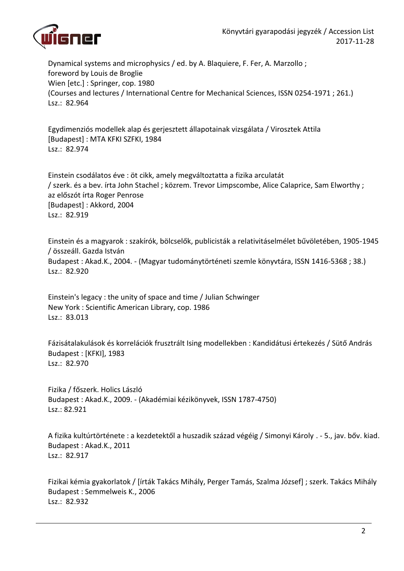

Dynamical systems and microphysics / ed. by A. Blaquiere, F. Fer, A. Marzollo ; foreword by Louis de Broglie Wien [etc.] : Springer, cop. 1980 (Courses and lectures / International Centre for Mechanical Sciences, ISSN 0254-1971 ; 261.) Lsz.: 82.964

Egydimenziós modellek alap és gerjesztett állapotainak vizsgálata / Virosztek Attila [Budapest] : MTA KFKI SZFKI, 1984 Lsz.: 82.974

Einstein csodálatos éve : öt cikk, amely megváltoztatta a fizika arculatát / szerk. és a bev. írta John Stachel ; közrem. Trevor Limpscombe, Alice Calaprice, Sam Elworthy ; az előszót írta Roger Penrose [Budapest] : Akkord, 2004 Lsz.: 82.919

Einstein és a magyarok : szakírók, bölcselők, publicisták a relativitáselmélet bűvöletében, 1905-1945 / összeáll. Gazda István Budapest : Akad.K., 2004. - (Magyar tudománytörténeti szemle könyvtára, ISSN 1416-5368 ; 38.) Lsz.: 82.920

Einstein's legacy : the unity of space and time / Julian Schwinger New York : Scientific American Library, cop. 1986 Lsz.: 83.013

Fázisátalakulások és korrelációk frusztrált Ising modellekben : Kandidátusi értekezés / Sütő András Budapest : [KFKI], 1983 Lsz.: 82.970

Fizika / főszerk. Holics László Budapest : Akad.K., 2009. - (Akadémiai kézikönyvek, ISSN 1787-4750) Lsz.: 82.921

A fizika kultúrtörténete : a kezdetektől a huszadik század végéig / Simonyi Károly . - 5., jav. bőv. kiad. Budapest : Akad.K., 2011 Lsz.: 82.917

Fizikai kémia gyakorlatok / [írták Takács Mihály, Perger Tamás, Szalma József] ; szerk. Takács Mihály Budapest : Semmelweis K., 2006 Lsz.: 82.932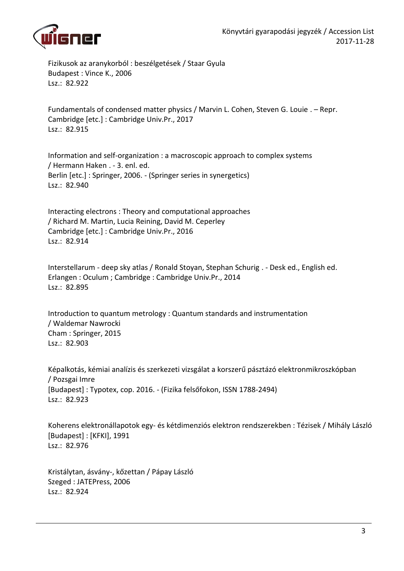

Fizikusok az aranykorból : beszélgetések / Staar Gyula Budapest : Vince K., 2006 Lsz.: 82.922

Fundamentals of condensed matter physics / Marvin L. Cohen, Steven G. Louie . – Repr. Cambridge [etc.] : Cambridge Univ.Pr., 2017 Lsz.: 82.915

Information and self-organization : a macroscopic approach to complex systems / Hermann Haken . - 3. enl. ed. Berlin [etc.] : Springer, 2006. - (Springer series in synergetics) Lsz.: 82.940

Interacting electrons : Theory and computational approaches / Richard M. Martin, Lucia Reining, David M. Ceperley Cambridge [etc.] : Cambridge Univ.Pr., 2016 Lsz.: 82.914

Interstellarum - deep sky atlas / Ronald Stoyan, Stephan Schurig . - Desk ed., English ed. Erlangen : Oculum ; Cambridge : Cambridge Univ.Pr., 2014 Lsz.: 82.895

Introduction to quantum metrology : Quantum standards and instrumentation / Waldemar Nawrocki Cham : Springer, 2015 Lsz.: 82.903

Képalkotás, kémiai analízis és szerkezeti vizsgálat a korszerű pásztázó elektronmikroszkópban / Pozsgai Imre [Budapest] : Typotex, cop. 2016. - (Fizika felsőfokon, ISSN 1788-2494) Lsz.: 82.923

Koherens elektronállapotok egy- és kétdimenziós elektron rendszerekben : Tézisek / Mihály László [Budapest] : [KFKI], 1991 Lsz.: 82.976

Kristálytan, ásvány-, kőzettan / Pápay László Szeged : JATEPress, 2006 Lsz.: 82.924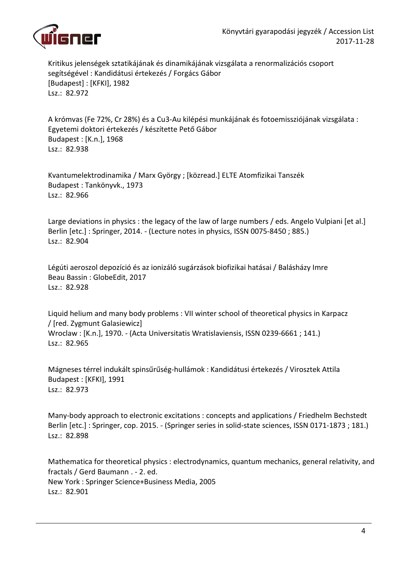

Kritikus jelenségek sztatikájának és dinamikájának vizsgálata a renormalizációs csoport segítségével : Kandidátusi értekezés / Forgács Gábor [Budapest] : [KFKI], 1982 Lsz.: 82.972

A krómvas (Fe 72%, Cr 28%) és a Cu3-Au kilépési munkájának és fotoemissziójának vizsgálata : Egyetemi doktori értekezés / készítette Pető Gábor Budapest : [K.n.], 1968 Lsz.: 82.938

Kvantumelektrodinamika / Marx György ; [közread.] ELTE Atomfizikai Tanszék Budapest : Tankönyvk., 1973 Lsz.: 82.966

Large deviations in physics : the legacy of the law of large numbers / eds. Angelo Vulpiani [et al.] Berlin [etc.] : Springer, 2014. - (Lecture notes in physics, ISSN 0075-8450 ; 885.) Lsz.: 82.904

Légúti aeroszol depozíció és az ionizáló sugárzások biofizikai hatásai / Balásházy Imre Beau Bassin : GlobeEdit, 2017 Lsz.: 82.928

Liquid helium and many body problems : VII winter school of theoretical physics in Karpacz / [red. Zygmunt Galasiewicz] Wroclaw : [K.n.], 1970. - (Acta Universitatis Wratislaviensis, ISSN 0239-6661 ; 141.) Lsz.: 82.965

Mágneses térrel indukált spinsűrűség-hullámok : Kandidátusi értekezés / Virosztek Attila Budapest : [KFKI], 1991 Lsz.: 82.973

Many-body approach to electronic excitations : concepts and applications / Friedhelm Bechstedt Berlin [etc.] : Springer, cop. 2015. - (Springer series in solid-state sciences, ISSN 0171-1873 ; 181.) Lsz.: 82.898

Mathematica for theoretical physics : electrodynamics, quantum mechanics, general relativity, and fractals / Gerd Baumann . - 2. ed. New York : Springer Science+Business Media, 2005 Lsz.: 82.901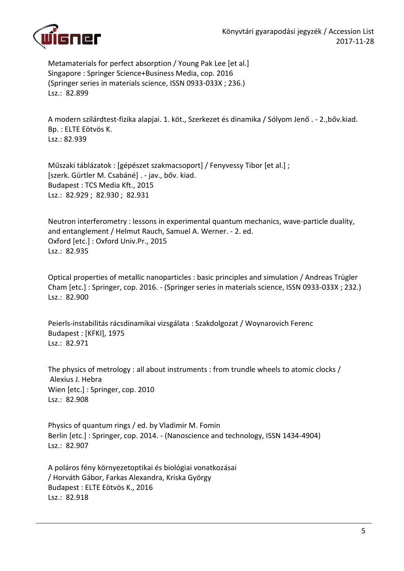

Metamaterials for perfect absorption / Young Pak Lee [et al.] Singapore : Springer Science+Business Media, cop. 2016 (Springer series in materials science, ISSN 0933-033X ; 236.) Lsz.: 82.899

A modern szilárdtest-fizika alapjai. 1. köt., Szerkezet és dinamika / Sólyom Jenő . - 2.,bőv.kiad. Bp. : ELTE Eötvös K. Lsz.: 82.939

Műszaki táblázatok : [gépészet szakmacsoport] / Fenyvessy Tibor [et al.] ; [szerk. Gürtler M. Csabáné] . - jav., bőv. kiad. Budapest : TCS Media Kft., 2015 Lsz.: 82.929 ; 82.930 ; 82.931

Neutron interferometry : lessons in experimental quantum mechanics, wave-particle duality, and entanglement / Helmut Rauch, Samuel A. Werner. - 2. ed. Oxford [etc.] : Oxford Univ.Pr., 2015 Lsz.: 82.935

Optical properties of metallic nanoparticles : basic principles and simulation / Andreas Trügler Cham [etc.] : Springer, cop. 2016. - (Springer series in materials science, ISSN 0933-033X ; 232.) Lsz.: 82.900

Peierls-instabilitás rácsdinamikai vizsgálata : Szakdolgozat / Woynarovich Ferenc Budapest : [KFKI], 1975 Lsz.: 82.971

The physics of metrology : all about instruments : from trundle wheels to atomic clocks / Alexius J. Hebra Wien [etc.] : Springer, cop. 2010 Lsz.: 82.908

Physics of quantum rings / ed. by Vladimir M. Fomin Berlin [etc.] : Springer, cop. 2014. - (Nanoscience and technology, ISSN 1434-4904) Lsz.: 82.907

A poláros fény környezetoptikai és biológiai vonatkozásai / Horváth Gábor, Farkas Alexandra, Kriska György Budapest : ELTE Eötvös K., 2016 Lsz.: 82.918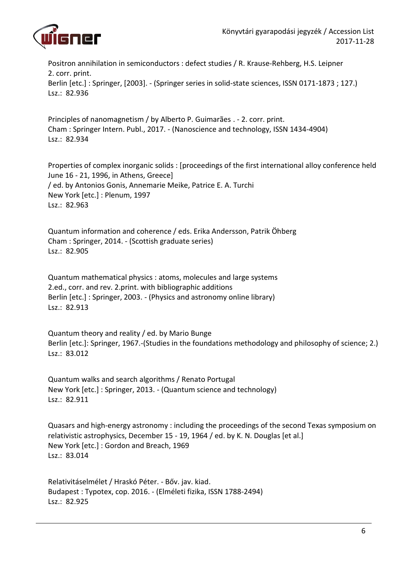

Positron annihilation in semiconductors : defect studies / R. Krause-Rehberg, H.S. Leipner 2. corr. print. Berlin [etc.] : Springer, [2003]. - (Springer series in solid-state sciences, ISSN 0171-1873 ; 127.) Lsz.: 82.936

Principles of nanomagnetism / by Alberto P. Guimarães . - 2. corr. print. Cham : Springer Intern. Publ., 2017. - (Nanoscience and technology, ISSN 1434-4904) Lsz.: 82.934

Properties of complex inorganic solids : [proceedings of the first international alloy conference held June 16 - 21, 1996, in Athens, Greece] / ed. by Antonios Gonis, Annemarie Meike, Patrice E. A. Turchi New York [etc.] : Plenum, 1997 Lsz.: 82.963

Quantum information and coherence / eds. Erika Andersson, Patrik Öhberg Cham : Springer, 2014. - (Scottish graduate series) Lsz.: 82.905

Quantum mathematical physics : atoms, molecules and large systems 2.ed., corr. and rev. 2.print. with bibliographic additions Berlin [etc.] : Springer, 2003. - (Physics and astronomy online library) Lsz.: 82.913

Quantum theory and reality / ed. by Mario Bunge Berlin [etc.]: Springer, 1967.-(Studies in the foundations methodology and philosophy of science; 2.) Lsz.: 83.012

Quantum walks and search algorithms / Renato Portugal New York [etc.] : Springer, 2013. - (Quantum science and technology) Lsz.: 82.911

Quasars and high-energy astronomy : including the proceedings of the second Texas symposium on relativistic astrophysics, December 15 - 19, 1964 / ed. by K. N. Douglas [et al.] New York [etc.] : Gordon and Breach, 1969 Lsz.: 83.014

Relativitáselmélet / Hraskó Péter. - Bőv. jav. kiad. Budapest : Typotex, cop. 2016. - (Elméleti fizika, ISSN 1788-2494) Lsz.: 82.925